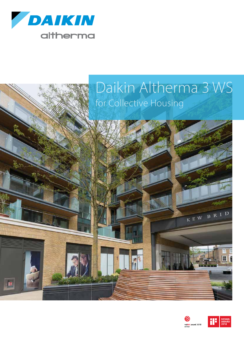

E

## Daikin Altherma 3 WS for Collective Housing



KEW BRID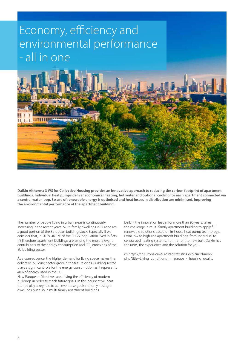## Economy, efficiency and environmental performance - all in one



**Daikin Altherma 3 WS for Collective Housing provides an innovative approach to reducing the carbon footprint of apartment buildings. Individual heat pumps deliver economical heating, hot water and optional cooling for each apartment connected via a central water loop. So use of renewable energy is optimised and heat losses in distribution are minimised, improving the environmental performance of the apartment building.** 

The number of people living in urban areas is continuously increasing in the recent years. Multi-family dwellings in Europe are a good portion of the European building stock. Especially if we consider that, in 2018, 46.0 % of the EU-27 population lived in flats. (\*) Therefore, apartment buildings are among the most relevant contributors to the energy consumption and CO<sub>2</sub> emissions of the EU building sector.

As a consequence, the higher demand for living space makes the collective building sector grow in the future cities. Building sector plays a significant role for the energy consumption as it represents 40% of energy used in the EU.

New European Directives are driving the efficiency of modern buildings in order to reach future goals. In this perspective, heat pumps play a key role to achieve these goals not only in single dwellings but also in multi-family apartment buildings.

Daikin, the innovation leader for more than 90 years, takes the challenge in multi-family apartment building to apply full renewable solutions based on in-house heat pump technology. From low to high-rise apartment buildings, from individual to centralized heating systems, from retrofit to new built Daikin has the units, the experience and the solution for you.

(\*) https://ec.europa.eu/eurostat/statistics-explained/index. php?title=Living\_conditions\_in\_Europe\_-\_housing\_quality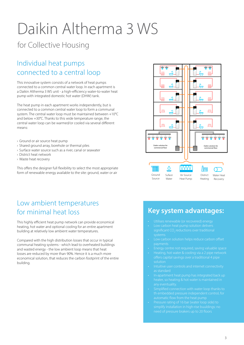# Daikin Altherma 3 WS

## for Collective Housing

### Individual heat pumps connected to a central loop

This innovative system consists of a network of heat pumps connected to a common central water loop. In each apartment is a Daikin Altherma 3 WS unit - a high-efficiency water-to-water heat pump with integrated domestic hot water (DHW) tank.

The heat pump in each apartment works independently, but is connected to a common central water loop to form a communal system. The central water loop must be maintained between +10°C and below +30°C. Thanks to this wide temperature range, the central water loop can be warmed/or cooled via several different means:

- › Ground or air source heat pump
- › Shared ground array, borehole or thermal piles
- › Surface water source such as a river, canal or seawater
- › District heat network
- › Waste heat recovery

This offers the designer full flexibility to select the most appropriate form of renewable energy available to the site: ground, water or air

### Low ambient temperatures for minimal heat loss

This highly efficient heat pump network can provide economical heating, hot water and optional cooling for an entire apartment building at relatively low ambient water temperatures.

Compared with the high distribution losses that occur in typical communal heating systems - which lead to overheated buildings and wasted energy - the low ambient loop means that heat losses are reduced by more than 90%. Hence it is a much more economical solution, that reduces the carbon footprint of the entire building.



#### **Key system advantages:**

- 
- 
- 
- 
- 
- 
- In-apartment heat pump has integrated back up
- th embedded pressure independent control, for
-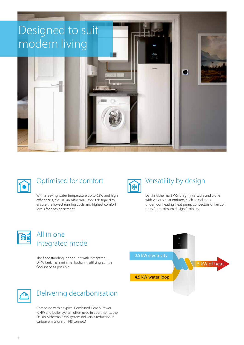



## Optimised for comfort

With a leaving water temperature up to 65°C and high efficiencies, the Daikin Altherma 3 WS is designed to ensure the lowest running costs and highest comfort levels for each apartment.

#### Versatility by design

Daikin Altherma 3 WS is highly versatile and works with various heat emitters, such as radiators, underfloor heating, heat pump convectors or fan coil units for maximum design flexibility.



### All in one integrated model

The floor standing indoor unit with integrated DHW tank has a minimal footprint, utilising as little floorspace as possible.





### Delivering decarbonisation

Compared with a typical Combined Heat & Power (CHP) and boiler system often used in apartments, the Daikin Altherma 3 WS system delivers a reduction in carbon emissions of 143 tonnes.1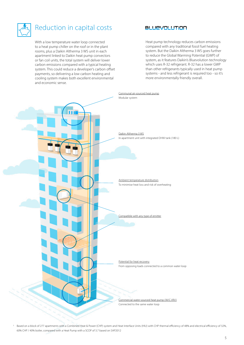

#### Reduction in capital costs

With a low temperature water loop connected to a heat pump chiller on the roof or in the plant rooms, plus a Daikin Altherma 3 WS unit in each apartment linked to Daikin heat pump convectors or fan coil units, the total system will deliver lower carbon emissions compared with a typical heating system. This could reduce a developer's carbon offset payments, so delivering a low carbon heating and cooling system makes both excellent environmental and economic sense.

#### **BLUEVOLUTION**

Heat pump technology reduces carbon emissions compared with any traditional fossil fuel heating system. But the Daikin Altherma 3 WS goes further to reduce the Global Warming Potential (GWP) of system, as it features Daikin's Bluevolution technology which uses R-32 refrigerant. R-32 has a lower GWP than other refrigerants typically used in heat pump systems - and less refrigerant is required too - so it's more environmentally friendly overall.



<sup>1</sup> Based on a block of 277 apartments with a Combined Heat & Power (CHP) system and Heat Interface Units (HIU) with CHP thermal efficiency of 48% and electrical efficiency of 32%, 60% CHP / 40% boiler, compared with a Heat Pump with a SCOP of 3.7 based on SAP2012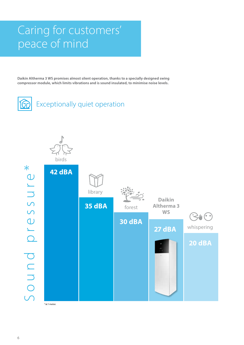## Caring for customers' peace of mind

**Daikin Altherma 3 WS promises almost silent operation, thanks to a specially designed swing compressor module, which limits vibrations and is sound insulated, to minimise noise levels.**



Exceptionally quiet operation

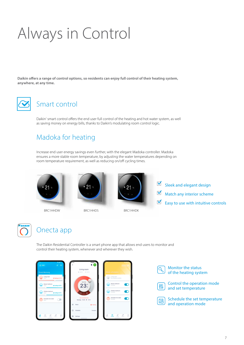# Always in Control

**Daikin offers a range of control options, so residents can enjoy full control of their heating system, anywhere, at any time.**



### Smart control

Daikin' smart control offers the end user full control of the heating and hot water system, as well as saving money on energy bills, thanks to Daikin's modulating room control logic.

## Madoka for heating

Increase end user energy savings even further, with the elegant Madoka controller. Madoka ensures a more stable room temperature, by adjusting the water temperatures depending on room temperature requirement, as well as reducing on/off cycling times.



BRC1HHDW BRC1HHDS BRC1HHDK





- $\blacktriangledown$ Sleek and elegant design
- $\blacktriangledown$ Match any interior scheme
- $\blacktriangledown$ Easy to use with intuitive controls



## Onecta app

The Daikin Residential Controller is a smart phone app that allows end users to monitor and control their heating system, whenever and wherever they wish.



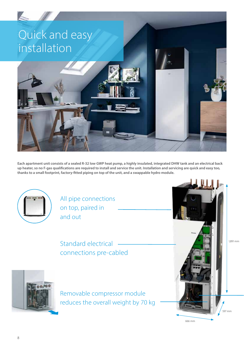

**Each apartment unit consists of a sealed R-32 low GWP heat pump, a highly insulated, integrated DHW tank and an electrical back up heater, so no F-gas qualifications are required to install and service the unit. Installation and servicing are quick and easy too, thanks to a small footprint, factory-fitted piping on top of the unit, and a swappable hydro module.**



All pipe connections on top, paired in and out

Standard electrical connections pre-cabled

Removable compressor module reduces the overall weight by 70 kg

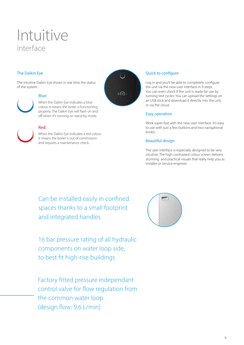## Intuitive interface

#### The Daikin Eye

The intuitive Daikin Eye shows in real time the status of the system.



#### Blue:

When the Daikin Eye indicates a blue colour, it means the boiler is functioning properly. The Daikin Eye will flash on and off when it's running on stand by mode.

#### Red:



When the Daikin Eye indicates a red colour, it means the boiler is out of commission and requires a maintenance check.



#### Quick to configure

Log in and you'll be able to completely configure the unit via the new user interface in 9 steps. You can even check if the unit is ready for use by running test cycles. You can upload the settings on an USB stick and download it directly into the unit, or via the cloud.

#### Easy operation

Work super-fast with the new user interface. It's easy to use with just a few buttons and two navigational knobs.

#### Beautiful design

The user interface is especially designed to be very intuitive. The high contrasted colour screen delivers stunning and practical visuals that really help you as installer or service engineer.

Can be installed easily in confined spaces thanks to a small footprint and integrated handles

16 bar pressure rating of all hydraulic components on water loop side, to best fit high-rise buildings

Factory fitted pressure independant control valve for flow regulation from the common water loop (design flow: 9,6 L/min)

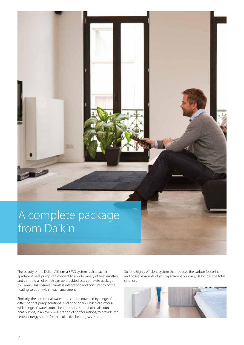## A complete package from Daikin

The beauty of the Daikin Altherma 3 WS system is that each inapartment heat pump can connect to a wide variety of heat emitters and controls, all of which can be provided as a complete package by Daikin. This ensures seamless integration and consistency of the heating solution within each apartment.

Similarly, the communal water loop can be powered by range of different heat pump solutions. And once again, Daikin can offer a wide range of water source heat pumps, 2 and 4 pipe air source heat pumps, in an even wider range of configurations, to provide the central energy source for the collective heating system.

So for a highly efficient system that reduces the carbon footprint and offset payments of your apartment building, Daikin has the total solution.

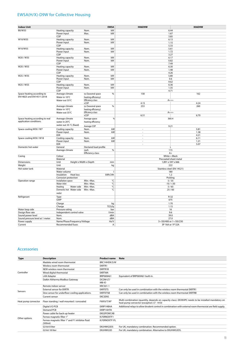#### EWSA(H/X)-D9W for Collective Housing

| <b>Indoor Unit</b>              |                                                                |                         | <b>EWSA</b>             | <b>H06D9W</b>              | <b>X06D9W</b> |  |
|---------------------------------|----------------------------------------------------------------|-------------------------|-------------------------|----------------------------|---------------|--|
| B0/W35                          | Heating capacity                                               | Nom.                    | kW                      | 6.44                       |               |  |
|                                 | Power input                                                    | Max.                    | kW                      | 1.67                       |               |  |
|                                 | COP                                                            |                         |                         | 3.85                       |               |  |
| W10/W35                         | Heating capacity                                               | Nom.                    | kW                      | 6.13                       |               |  |
|                                 | Power input                                                    | Nom.                    | kW                      | 1.15                       |               |  |
|                                 | COP                                                            |                         |                         | 5.33                       |               |  |
| W10/W55                         | Heating capacity                                               | Nom.                    | kW                      | 5.61                       |               |  |
|                                 | Power input                                                    | Nom.                    | kW                      | 1.72                       |               |  |
|                                 | COP                                                            |                         |                         | 3.27                       |               |  |
| W20/W35                         | Heating capacity                                               | Nom.                    | kW                      | 6.17                       |               |  |
|                                 | Power input                                                    | Nom.                    | kW                      | 0.82                       |               |  |
|                                 | COP                                                            |                         |                         | 7.49                       |               |  |
| W20 / W55                       | Heating capacity                                               | Nom.                    | kW                      | 6.30                       |               |  |
|                                 | Power input                                                    | Nom.                    | kW                      | 1.48                       |               |  |
|                                 | COP                                                            |                         |                         | 4.26                       |               |  |
| W25/W35                         | Heating capacity                                               | Nom.                    | kW                      | 5.80                       |               |  |
|                                 | Power input                                                    | Nom.                    | kW                      | 0.6                        |               |  |
|                                 | COP                                                            |                         |                         | 9.62                       |               |  |
| W25 / W55                       | Heating capacity                                               | Nom.                    | kW                      | 6.36                       |               |  |
|                                 | Power input                                                    | Nom.                    | kW                      | 1.35                       |               |  |
|                                 | COP                                                            |                         |                         | 4.71                       |               |  |
| Space heating according to      | Average climate                                                | ns (Seasonal space      | %                       | 158                        | 162           |  |
| EN14825 and EN14511:2018        | Water in 10°C                                                  | heating efficiency)     |                         |                            |               |  |
|                                 | Water out 55°C                                                 | Efficiency class        |                         | $A++$                      |               |  |
|                                 |                                                                | sCOP                    |                         | 4.15                       | 4.24          |  |
|                                 | Average climate                                                | ns (Seasonal space      | %                       | 253                        | 260           |  |
|                                 | Water in 10°C                                                  | heating efficiency)     |                         |                            |               |  |
|                                 | Water out 35°C                                                 | Efficiency class        |                         | $A+++$                     |               |  |
|                                 |                                                                | sCOP                    |                         | 6.51                       | 6.70          |  |
| Space heating according to real | Average climate                                                | Average space           | %                       | 360.4                      |               |  |
| application conditions          | water in 20°C                                                  | heating efficiency      |                         |                            |               |  |
|                                 |                                                                |                         |                         |                            |               |  |
|                                 | water out 35 °C (fixed)                                        | Average COP             |                         | 9.21                       |               |  |
| Space cooling W30 / W7          | Cooling capacity                                               | Nom.                    | kW                      | $\sim$                     | 5.81          |  |
|                                 | Power input                                                    | Nom.                    | kW                      | $\sim$                     | 1.38          |  |
|                                 | EER                                                            |                         |                         | ä,                         | 4.21          |  |
| Space cooling W30 / W18         | Cooling capacity                                               | Nom.                    | kW                      | $\bar{\phantom{a}}$        | 6.11          |  |
|                                 | Power input                                                    | Nom.                    | kW                      | $\bar{a}$                  | 1.21          |  |
|                                 | EER                                                            |                         |                         | $\overline{a}$             | 5.07          |  |
| Domestic hot water              | General                                                        | Declared load profile   |                         | Г                          |               |  |
|                                 | Average climate                                                | nwh                     | $\%$                    | 115                        |               |  |
|                                 |                                                                | <b>Efficiency class</b> |                         | $A+$                       |               |  |
| Casing                          | Colour                                                         |                         |                         | White + Black              |               |  |
|                                 | Material                                                       |                         | Precoated sheet metal   |                            |               |  |
| Dimensions                      | Unit                                                           | Height x Width x Depth  | 1,891 x 597 x 666<br>mm |                            |               |  |
| Weight                          | Unit                                                           |                         | kg                      |                            | 222           |  |
| Hot water tank                  | Material                                                       |                         |                         | Stainless steel (EN 14521) |               |  |
|                                 | Water volume                                                   |                         | I                       | 180                        |               |  |
|                                 | Heat loss<br>Insulation                                        |                         | kWh/24h                 | 1.2                        |               |  |
|                                 | Corrosion protection                                           |                         |                         | Pickling                   |               |  |
| Operation range                 | Installation space                                             | Min.~Max.               | °C                      | 5/35                       |               |  |
|                                 | Water inlet                                                    | Min.~Max.               | °C                      | $-10/ + 30$                |               |  |
|                                 | Heating<br>Water side                                          | °C<br>5/65<br>Min.~Max. |                         |                            |               |  |
|                                 | Domestic hot Water side                                        | Min.~Max.               | °C                      | 25/60                      |               |  |
|                                 | water                                                          |                         |                         |                            |               |  |
| Refrigerant                     |                                                                |                         |                         | $R-32$                     |               |  |
|                                 | Type<br>GWP                                                    |                         | 675                     |                            |               |  |
|                                 |                                                                |                         |                         |                            |               |  |
|                                 | Charge<br>kg                                                   |                         | 1.70                    |                            |               |  |
|                                 | TCO <sub>2</sub> Eq<br>Charge                                  |                         | 1.15                    |                            |               |  |
| Water loop side                 | Pressure rating<br>bar                                         |                         | 16                      |                            |               |  |
| Design flow rate                | Independent control valve                                      |                         | l/min                   | 9.6                        |               |  |
| Sound power level               | dBA<br>Nom.                                                    |                         |                         | 39.0                       |               |  |
| Sound pressure level at 1 meter | dBA<br>Nom.                                                    |                         | 27.0                    |                            |               |  |
| Power supply                    | Name/Phase/Frequency/Voltage<br>Hz/V<br>3~/50/400 or 1~/50/230 |                         |                         |                            |               |  |
| Current                         | A<br>Recommended fuses                                         |                         | 3P 16A or 1P 32A        |                            |               |  |

#### Accessories

| <b>Type</b>         | <b>Description</b>                                          | <b>Product name</b> | <b>Note</b>                                                                                                                                      |
|---------------------|-------------------------------------------------------------|---------------------|--------------------------------------------------------------------------------------------------------------------------------------------------|
| Controller          | Madoka wired room thermostat                                | BRC1HHDK/S/W        |                                                                                                                                                  |
|                     | Wireless room thermostat                                    | <b>EKRTR1</b>       |                                                                                                                                                  |
|                     | NEW wireless room thermostat                                | EKRTR1B             |                                                                                                                                                  |
|                     | Wired digital thermostat                                    | <b>EKRTWA</b>       |                                                                                                                                                  |
|                     | <b>LAN Adapter</b>                                          | BRP069A61           | Equivalent of BRP069A61 built-in.                                                                                                                |
|                     | Daikin Altherma Modbus Gateway                              | DCOM-LT/            |                                                                                                                                                  |
|                     |                                                             | MB-IO               |                                                                                                                                                  |
| Sensors             | Remote indoor sensor                                        | <b>KRCS01-1</b>     |                                                                                                                                                  |
|                     | <b>External sensor for EKRTR</b>                            | <b>EKRTETS</b>      | Can only be used in combination with the wireless room thermostat EKRTR1                                                                         |
|                     | Dew sensor for underfloor cooling applications              | <b>EKRTETSB</b>     | Can only be used in combination with the wireless room thermostat EKRTRB                                                                         |
|                     | Current sensor                                              | <b>EKCSENS</b>      |                                                                                                                                                  |
| Heat pump convector | Floor standing / wall mounted / concealed                   | FWXV/T/M*           | Multi combination (quantity, depends on capacity class). EKVKHPC needs to be installed mandatory on<br>heat pump convector (exception: LT - H/O) |
| Other options       | Digital I/O PCB                                             | EKRP1HBAA           | Additional relays to allow bivalent control in combination with external room thermostat are field supply.                                       |
|                     | Demand PCB                                                  | EKRP1AHTA           |                                                                                                                                                  |
|                     | Power cable for back-up heater                              | <b>EKGSPOWCAB</b>   |                                                                                                                                                  |
|                     | Fernox magnetic filter 1"                                   | K.FERNOXTF1         |                                                                                                                                                  |
|                     | Fernox magnetic filter 1" and F1 inhibitor fluid<br>(500ml) | K.FERNOXTF1FL       |                                                                                                                                                  |
|                     | G3 kit 8 liter                                              | EKUHWG3DS           | For UK, mandatory combination. Recommended option.                                                                                               |
|                     | G3 kit 18 liter                                             | EKUHWG3D            | For UK, mandatory combination. Alternative to EKUHWG3DS.                                                                                         |